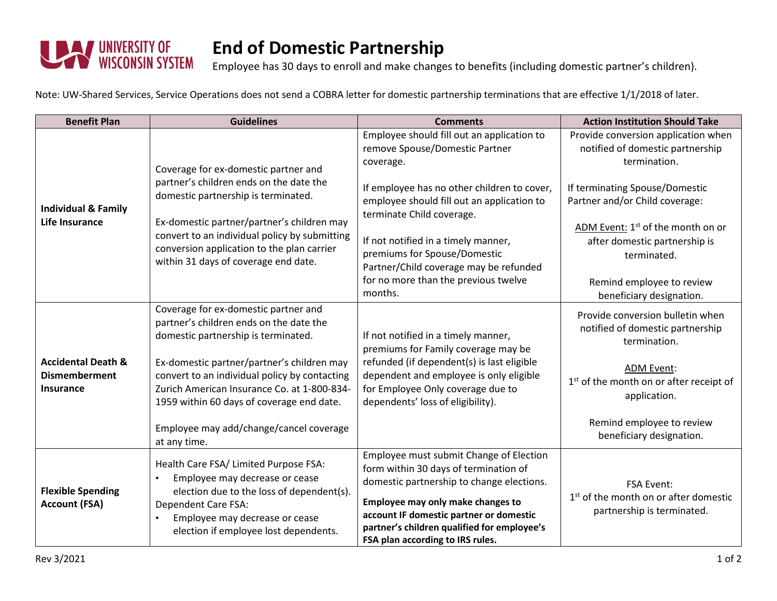

## **End of Domestic Partnership**

Employee has 30 days to enroll and make changes to benefits (including domestic partner's children).

Note: UW-Shared Services, Service Operations does not send a COBRA letter for domestic partnership terminations that are effective 1/1/2018 of later.

| <b>Benefit Plan</b>                                                       | <b>Guidelines</b>                                                                                                                                                                                                                                                                                           | <b>Comments</b>                                                                                                                                                                                                                                                                                  | <b>Action Institution Should Take</b>                                                                |
|---------------------------------------------------------------------------|-------------------------------------------------------------------------------------------------------------------------------------------------------------------------------------------------------------------------------------------------------------------------------------------------------------|--------------------------------------------------------------------------------------------------------------------------------------------------------------------------------------------------------------------------------------------------------------------------------------------------|------------------------------------------------------------------------------------------------------|
| <b>Individual &amp; Family</b><br>Life Insurance                          | Coverage for ex-domestic partner and<br>partner's children ends on the date the<br>domestic partnership is terminated.<br>Ex-domestic partner/partner's children may<br>convert to an individual policy by submitting<br>conversion application to the plan carrier<br>within 31 days of coverage end date. | Employee should fill out an application to<br>remove Spouse/Domestic Partner<br>coverage.                                                                                                                                                                                                        | Provide conversion application when<br>notified of domestic partnership<br>termination.              |
|                                                                           |                                                                                                                                                                                                                                                                                                             | If employee has no other children to cover,<br>employee should fill out an application to<br>terminate Child coverage.                                                                                                                                                                           | If terminating Spouse/Domestic<br>Partner and/or Child coverage:                                     |
|                                                                           |                                                                                                                                                                                                                                                                                                             | If not notified in a timely manner,<br>premiums for Spouse/Domestic<br>Partner/Child coverage may be refunded                                                                                                                                                                                    | ADM Event: 1 <sup>st</sup> of the month on or<br>after domestic partnership is<br>terminated.        |
|                                                                           |                                                                                                                                                                                                                                                                                                             | for no more than the previous twelve<br>months.                                                                                                                                                                                                                                                  | Remind employee to review<br>beneficiary designation.                                                |
| <b>Accidental Death &amp;</b><br><b>Dismemberment</b><br><b>Insurance</b> | Coverage for ex-domestic partner and<br>partner's children ends on the date the<br>domestic partnership is terminated.                                                                                                                                                                                      | If not notified in a timely manner,<br>premiums for Family coverage may be                                                                                                                                                                                                                       | Provide conversion bulletin when<br>notified of domestic partnership<br>termination.                 |
|                                                                           | Ex-domestic partner/partner's children may<br>convert to an individual policy by contacting<br>Zurich American Insurance Co. at 1-800-834-<br>1959 within 60 days of coverage end date.                                                                                                                     | refunded (if dependent(s) is last eligible<br>dependent and employee is only eligible<br>for Employee Only coverage due to<br>dependents' loss of eligibility).                                                                                                                                  | <b>ADM Event:</b><br>1 <sup>st</sup> of the month on or after receipt of<br>application.             |
|                                                                           | Employee may add/change/cancel coverage<br>at any time.                                                                                                                                                                                                                                                     |                                                                                                                                                                                                                                                                                                  | Remind employee to review<br>beneficiary designation.                                                |
| <b>Flexible Spending</b><br><b>Account (FSA)</b>                          | Health Care FSA/ Limited Purpose FSA:<br>Employee may decrease or cease<br>election due to the loss of dependent(s).<br><b>Dependent Care FSA:</b><br>Employee may decrease or cease<br>election if employee lost dependents.                                                                               | Employee must submit Change of Election<br>form within 30 days of termination of<br>domestic partnership to change elections.<br>Employee may only make changes to<br>account IF domestic partner or domestic<br>partner's children qualified for employee's<br>FSA plan according to IRS rules. | <b>FSA Event:</b><br>1 <sup>st</sup> of the month on or after domestic<br>partnership is terminated. |